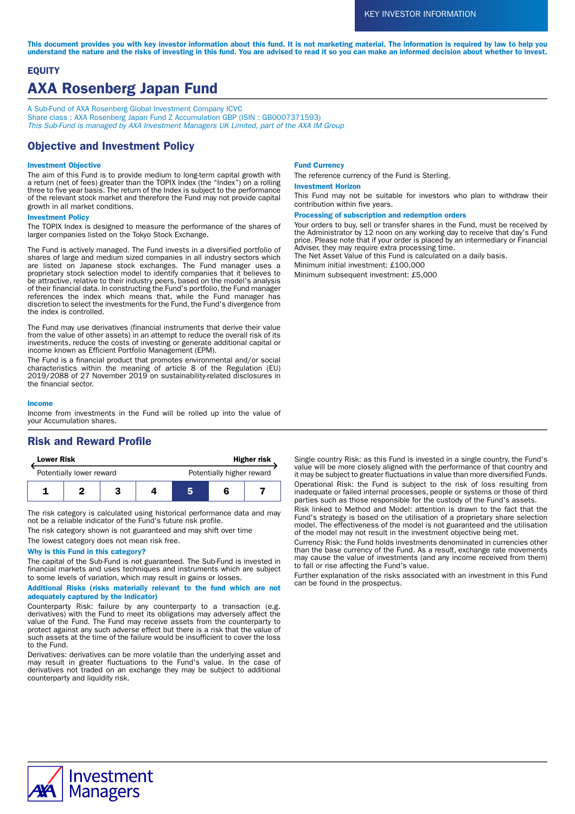This document provides you with key investor information about this fund. It is not marketing material. The information is required by law to help you understand the nature and the risks of investing in this fund. You are advised to read it so you can make an informed decision about whether to invest.

# **EQUITY** AXA Rosenberg Japan Fund

A Sub-Fund of AXA Rosenberg Global Investment Company ICVC Share class : AXA Rosenberg Japan Fund Z Accumulation GBP (ISIN : GB0007371593)<br>*This Sub-Fund is managed by AXA Investment Managers UK Limited, part of the AXA IM Group* 

# Objective and Investment Policy

## Investment Objective

The aim of this Fund is to provide medium to long-term capital growth with a return (net of fees) greater than the TOPIX Index (the "Index") on a rolling three to five year basis. The return of the Index is subject to the performance of the relevant stock market and therefore the Fund may not provide capital growth in all market conditions.

### Investment Policy

The TOPIX Index is designed to measure the performance of the shares of larger companies listed on the Tokyo Stock Exchange.

The Fund is actively managed. The Fund invests in a diversified portfolio of shares of large and medium sized companies in all industry sectors which are listed on Japanese stock exchanges. The Fund manager uses a proprietary stock selection model to identify companies that it believes to be attractive, relative to their industry peers, based on the model's analysis of their financial data. In constructing the Fund's portfolio, the Fund manager references the index which means that, while the Fund manager has discretion to select the investments for the Fund, the Fund's divergence from the index is controlled.

The Fund may use derivatives (financial instruments that derive their value from the value of other assets) in an attempt to reduce the overall risk of its investments, reduce the costs of investing or generate additional capital or income known as Efficient Portfolio Management (EPM).

The Fund is a financial product that promotes environmental and/or social characteristics within the meaning of article 8 of the Regulation (EU) 2019/2088 of 27 November 2019 on sustainability-related disclosures in the financial sector.

#### Income

Income from investments in the Fund will be rolled up into the value of your Accumulation shares.

# Risk and Reward Profile

| <b>Lower Risk</b>        |  |  | <b>Higher risk</b> |                           |  |  |
|--------------------------|--|--|--------------------|---------------------------|--|--|
| Potentially lower reward |  |  |                    | Potentially higher reward |  |  |
|                          |  |  |                    | ь                         |  |  |

The risk category is calculated using historical performance data and may not be a reliable indicator of the Fund's future risk profile.

The risk category shown is not guaranteed and may shift over time

The lowest category does not mean risk free.

### Why is this Fund in this category?

The capital of the Sub-Fund is not guaranteed. The Sub-Fund is invested in financial markets and uses techniques and instruments which are subject to some levels of variation, which may result in gains or losses.

Additional Risks (risks materially relevant to the fund which are not adequately captured by the indicator)

Counterparty Risk: failure by any counterparty to a transaction (e.g. derivatives) with the Fund to meet its obligations may adversely affect the value of the Fund. The Fund may receive assets from the counterparty to protect against any such adverse effect but there is a risk that the value of such assets at the time of the failure would be insufficient to cover the loss to the Fund.

Derivatives: derivatives can be more volatile than the underlying asset and may result in greater fluctuations to the Fund's value. In the case of derivatives not traded on an exchange they may be subject to additional counterparty and liquidity risk.

### Fund Currency

The reference currency of the Fund is Sterling.

### Investment Horizon

This Fund may not be suitable for investors who plan to withdraw their contribution within five years.

#### Processing of subscription and redemption orders

Your orders to buy, sell or transfer shares in the Fund, must be received by the Administrator by 12 noon on any working day to receive that day's Fund price. Please note that if your order is placed by an intermediary or Financial Adviser, they may require extra processing time.

The Net Asset Value of this Fund is calculated on a daily basis.

Minimum initial investment: £100,000

Minimum subsequent investment: £5,000

Single country Risk: as this Fund is invested in a single country, the Fund's value will be more closely aligned with the performance of that country and it may be subject to greater fluctuations in value than more diversified Funds. Operational Risk: the Fund is subject to the risk of loss resulting from inadequate or failed internal processes, people or systems or those of third parties such as those responsible for the custody of the Fund's assets.

Risk linked to Method and Model: attention is drawn to the fact that the Fund's strategy is based on the utilisation of a proprietary share selection model. The effectiveness of the model is not guaranteed and the utilisation of the model may not result in the investment objective being met.

Currency Risk: the Fund holds investments denominated in currencies other than the base currency of the Fund. As a result, exchange rate movements may cause the value of investments (and any income received from them) to fall or rise affecting the Fund's value.

Further explanation of the risks associated with an investment in this Fund can be found in the prospectus.